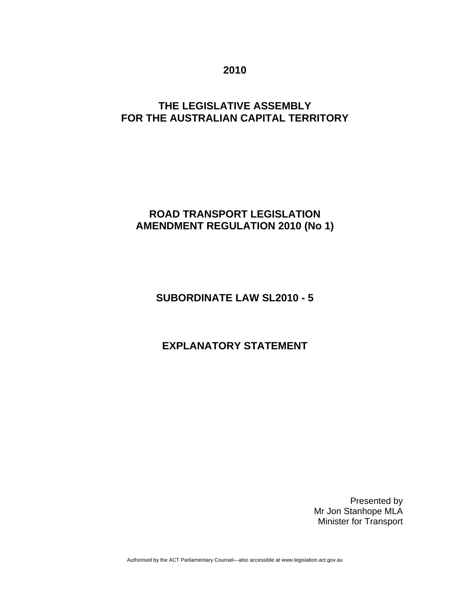**2010** 

## **THE LEGISLATIVE ASSEMBLY FOR THE AUSTRALIAN CAPITAL TERRITORY**

## **ROAD TRANSPORT LEGISLATION AMENDMENT REGULATION 2010 (No 1)**

# **SUBORDINATE LAW SL2010 - 5**

# **EXPLANATORY STATEMENT**

Presented by Mr Jon Stanhope MLA Minister for Transport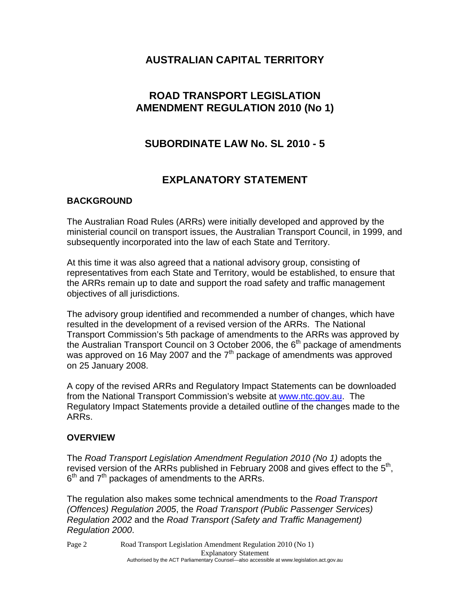## **AUSTRALIAN CAPITAL TERRITORY**

## **ROAD TRANSPORT LEGISLATION AMENDMENT REGULATION 2010 (No 1)**

## **SUBORDINATE LAW No. SL 2010 - 5**

## **EXPLANATORY STATEMENT**

#### **BACKGROUND**

The Australian Road Rules (ARRs) were initially developed and approved by the ministerial council on transport issues, the Australian Transport Council, in 1999, and subsequently incorporated into the law of each State and Territory.

At this time it was also agreed that a national advisory group, consisting of representatives from each State and Territory, would be established, to ensure that the ARRs remain up to date and support the road safety and traffic management objectives of all jurisdictions.

The advisory group identified and recommended a number of changes, which have resulted in the development of a revised version of the ARRs. The National Transport Commission's 5th package of amendments to the ARRs was approved by the Australian Transport Council on 3 October 2006, the  $6<sup>th</sup>$  package of amendments was approved on 16 May 2007 and the  $7<sup>th</sup>$  package of amendments was approved on 25 January 2008.

A copy of the revised ARRs and Regulatory Impact Statements can be downloaded from the National Transport Commission's website at [www.ntc.gov.au](http://www.ntc.gov.au/). The Regulatory Impact Statements provide a detailed outline of the changes made to the ARRs.

#### **OVERVIEW**

The *Road Transport Legislation Amendment Regulation 2010 (No 1)* adopts the revised version of the ARRs published in February 2008 and gives effect to the 5<sup>th</sup>,  $6<sup>th</sup>$  and  $7<sup>th</sup>$  packages of amendments to the ARRs.

The regulation also makes some technical amendments to the *Road Transport (Offences) Regulation 2005*, the *Road Transport (Public Passenger Services) Regulation 2002* and the *Road Transport (Safety and Traffic Management) Regulation 2000*.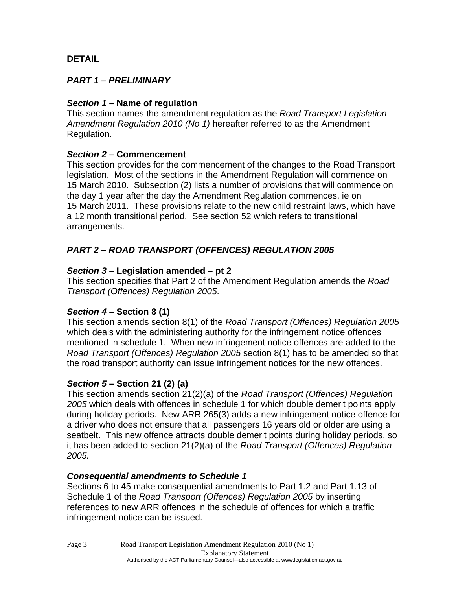## **DETAIL**

## *PART 1 – PRELIMINARY*

### *Section 1* **– Name of regulation**

This section names the amendment regulation as the *Road Transport Legislation Amendment Regulation 2010 (No 1)* hereafter referred to as the Amendment Regulation.

### *Section 2* **– Commencement**

This section provides for the commencement of the changes to the Road Transport legislation. Most of the sections in the Amendment Regulation will commence on 15 March 2010. Subsection (2) lists a number of provisions that will commence on the day 1 year after the day the Amendment Regulation commences, ie on 15 March 2011. These provisions relate to the new child restraint laws, which have a 12 month transitional period. See section 52 which refers to transitional arrangements.

## *PART 2 – ROAD TRANSPORT (OFFENCES) REGULATION 2005*

### *Section 3* **– Legislation amended – pt 2**

This section specifies that Part 2 of the Amendment Regulation amends the *Road Transport (Offences) Regulation 2005*.

#### *Section 4* **– Section 8 (1)**

This section amends section 8(1) of the *Road Transport (Offences) Regulation 2005* which deals with the administering authority for the infringement notice offences mentioned in schedule 1. When new infringement notice offences are added to the *Road Transport (Offences) Regulation 2005* section 8(1) has to be amended so that the road transport authority can issue infringement notices for the new offences.

#### *Section 5* **– Section 21 (2) (a)**

This section amends section 21(2)(a) of the *Road Transport (Offences) Regulation 2005* which deals with offences in schedule 1 for which double demerit points apply during holiday periods. New ARR 265(3) adds a new infringement notice offence for a driver who does not ensure that all passengers 16 years old or older are using a seatbelt. This new offence attracts double demerit points during holiday periods, so it has been added to section 21(2)(a) of the *Road Transport (Offences) Regulation 2005.*

#### *Consequential amendments to Schedule 1*

Sections 6 to 45 make consequential amendments to Part 1.2 and Part 1.13 of Schedule 1 of the *Road Transport (Offences) Regulation 2005* by inserting references to new ARR offences in the schedule of offences for which a traffic infringement notice can be issued.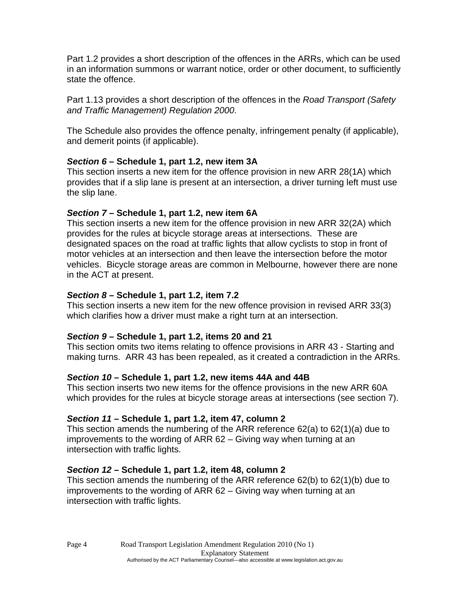Part 1.2 provides a short description of the offences in the ARRs, which can be used in an information summons or warrant notice, order or other document, to sufficiently state the offence.

Part 1.13 provides a short description of the offences in the *Road Transport (Safety and Traffic Management) Regulation 2000*.

The Schedule also provides the offence penalty, infringement penalty (if applicable), and demerit points (if applicable).

## *Section 6* **– Schedule 1, part 1.2, new item 3A**

This section inserts a new item for the offence provision in new ARR 28(1A) which provides that if a slip lane is present at an intersection, a driver turning left must use the slip lane.

## *Section 7* **– Schedule 1, part 1.2, new item 6A**

This section inserts a new item for the offence provision in new ARR 32(2A) which provides for the rules at bicycle storage areas at intersections. These are designated spaces on the road at traffic lights that allow cyclists to stop in front of motor vehicles at an intersection and then leave the intersection before the motor vehicles. Bicycle storage areas are common in Melbourne, however there are none in the ACT at present.

## *Section 8* **– Schedule 1, part 1.2, item 7.2**

This section inserts a new item for the new offence provision in revised ARR 33(3) which clarifies how a driver must make a right turn at an intersection.

## *Section 9* **– Schedule 1, part 1.2, items 20 and 21**

This section omits two items relating to offence provisions in ARR 43 - Starting and making turns. ARR 43 has been repealed, as it created a contradiction in the ARRs.

## *Section 10* **– Schedule 1, part 1.2, new items 44A and 44B**

This section inserts two new items for the offence provisions in the new ARR 60A which provides for the rules at bicycle storage areas at intersections (see section 7).

## *Section 11* **– Schedule 1, part 1.2, item 47, column 2**

This section amends the numbering of the ARR reference 62(a) to 62(1)(a) due to improvements to the wording of ARR 62 – Giving way when turning at an intersection with traffic lights.

## *Section 12* **– Schedule 1, part 1.2, item 48, column 2**

This section amends the numbering of the ARR reference 62(b) to 62(1)(b) due to improvements to the wording of ARR 62 – Giving way when turning at an intersection with traffic lights.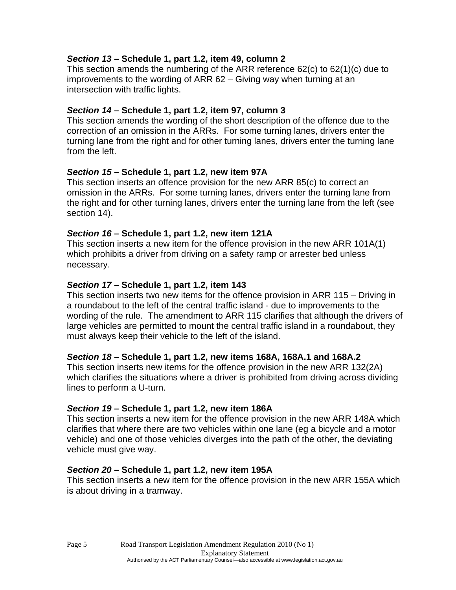### *Section 13* **– Schedule 1, part 1.2, item 49, column 2**

This section amends the numbering of the ARR reference 62(c) to 62(1)(c) due to improvements to the wording of ARR 62 – Giving way when turning at an intersection with traffic lights.

### *Section 14* **– Schedule 1, part 1.2, item 97, column 3**

This section amends the wording of the short description of the offence due to the correction of an omission in the ARRs. For some turning lanes, drivers enter the turning lane from the right and for other turning lanes, drivers enter the turning lane from the left.

### *Section 15* **– Schedule 1, part 1.2, new item 97A**

This section inserts an offence provision for the new ARR 85(c) to correct an omission in the ARRs. For some turning lanes, drivers enter the turning lane from the right and for other turning lanes, drivers enter the turning lane from the left (see section 14).

### *Section 16* **– Schedule 1, part 1.2, new item 121A**

This section inserts a new item for the offence provision in the new ARR 101A(1) which prohibits a driver from driving on a safety ramp or arrester bed unless necessary.

### *Section 17* **– Schedule 1, part 1.2, item 143**

This section inserts two new items for the offence provision in ARR 115 – Driving in a roundabout to the left of the central traffic island - due to improvements to the wording of the rule. The amendment to ARR 115 clarifies that although the drivers of large vehicles are permitted to mount the central traffic island in a roundabout, they must always keep their vehicle to the left of the island.

#### *Section 18* **– Schedule 1, part 1.2, new items 168A, 168A.1 and 168A.2**

This section inserts new items for the offence provision in the new ARR 132(2A) which clarifies the situations where a driver is prohibited from driving across dividing lines to perform a U-turn.

#### *Section 19* **– Schedule 1, part 1.2, new item 186A**

This section inserts a new item for the offence provision in the new ARR 148A which clarifies that where there are two vehicles within one lane (eg a bicycle and a motor vehicle) and one of those vehicles diverges into the path of the other, the deviating vehicle must give way.

#### *Section 20* **– Schedule 1, part 1.2, new item 195A**

This section inserts a new item for the offence provision in the new ARR 155A which is about driving in a tramway.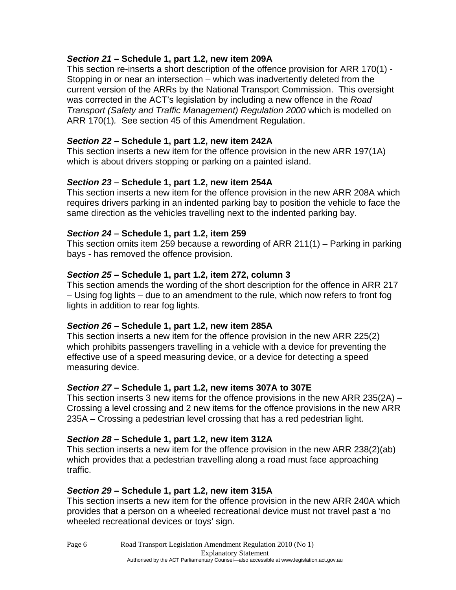### *Section 21* **– Schedule 1, part 1.2, new item 209A**

This section re-inserts a short description of the offence provision for ARR 170(1) - Stopping in or near an intersection – which was inadvertently deleted from the current version of the ARRs by the National Transport Commission. This oversight was corrected in the ACT's legislation by including a new offence in the *Road Transport (Safety and Traffic Management) Regulation 2000* which is modelled on ARR 170(1)*.* See section 45 of this Amendment Regulation.

### *Section 22* **– Schedule 1, part 1.2, new item 242A**

This section inserts a new item for the offence provision in the new ARR 197(1A) which is about drivers stopping or parking on a painted island.

### *Section 23* **– Schedule 1, part 1.2, new item 254A**

This section inserts a new item for the offence provision in the new ARR 208A which requires drivers parking in an indented parking bay to position the vehicle to face the same direction as the vehicles travelling next to the indented parking bay.

#### *Section 24* **– Schedule 1, part 1.2, item 259**

This section omits item 259 because a rewording of ARR 211(1) – Parking in parking bays - has removed the offence provision.

### *Section 25* **– Schedule 1, part 1.2, item 272, column 3**

This section amends the wording of the short description for the offence in ARR 217 – Using fog lights – due to an amendment to the rule, which now refers to front fog lights in addition to rear fog lights.

## *Section 26* **– Schedule 1, part 1.2, new item 285A**

This section inserts a new item for the offence provision in the new ARR 225(2) which prohibits passengers travelling in a vehicle with a device for preventing the effective use of a speed measuring device, or a device for detecting a speed measuring device.

## *Section 27* **– Schedule 1, part 1.2, new items 307A to 307E**

This section inserts 3 new items for the offence provisions in the new ARR 235(2A) – Crossing a level crossing and 2 new items for the offence provisions in the new ARR 235A – Crossing a pedestrian level crossing that has a red pedestrian light.

## *Section 28* **– Schedule 1, part 1.2, new item 312A**

This section inserts a new item for the offence provision in the new ARR 238(2)(ab) which provides that a pedestrian travelling along a road must face approaching traffic.

## *Section 29* **– Schedule 1, part 1.2, new item 315A**

This section inserts a new item for the offence provision in the new ARR 240A which provides that a person on a wheeled recreational device must not travel past a 'no wheeled recreational devices or toys' sign.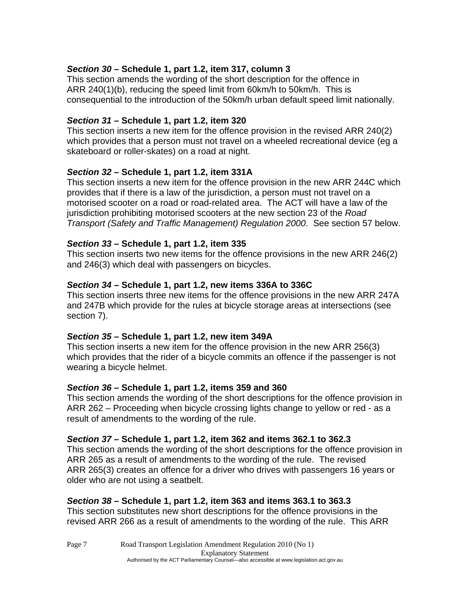## *Section 30* **– Schedule 1, part 1.2, item 317, column 3**

This section amends the wording of the short description for the offence in ARR 240(1)(b), reducing the speed limit from 60km/h to 50km/h. This is consequential to the introduction of the 50km/h urban default speed limit nationally.

#### *Section 31* **– Schedule 1, part 1.2, item 320**

This section inserts a new item for the offence provision in the revised ARR 240(2) which provides that a person must not travel on a wheeled recreational device (eg a skateboard or roller-skates) on a road at night.

#### *Section 32* **– Schedule 1, part 1.2, item 331A**

This section inserts a new item for the offence provision in the new ARR 244C which provides that if there is a law of the jurisdiction, a person must not travel on a motorised scooter on a road or road-related area. The ACT will have a law of the jurisdiction prohibiting motorised scooters at the new section 23 of the *Road Transport (Safety and Traffic Management) Regulation 2000*. See section 57 below.

#### *Section 33* **– Schedule 1, part 1.2, item 335**

This section inserts two new items for the offence provisions in the new ARR 246(2) and 246(3) which deal with passengers on bicycles.

#### *Section 34* **– Schedule 1, part 1.2, new items 336A to 336C**

This section inserts three new items for the offence provisions in the new ARR 247A and 247B which provide for the rules at bicycle storage areas at intersections (see section 7).

#### *Section 35* **– Schedule 1, part 1.2, new item 349A**

This section inserts a new item for the offence provision in the new ARR 256(3) which provides that the rider of a bicycle commits an offence if the passenger is not wearing a bicycle helmet.

#### *Section 36* **– Schedule 1, part 1.2, items 359 and 360**

This section amends the wording of the short descriptions for the offence provision in ARR 262 – Proceeding when bicycle crossing lights change to yellow or red - as a result of amendments to the wording of the rule.

#### *Section 37* **– Schedule 1, part 1.2, item 362 and items 362.1 to 362.3**

This section amends the wording of the short descriptions for the offence provision in ARR 265 as a result of amendments to the wording of the rule. The revised ARR 265(3) creates an offence for a driver who drives with passengers 16 years or older who are not using a seatbelt.

#### *Section 38* **– Schedule 1, part 1.2, item 363 and items 363.1 to 363.3**

This section substitutes new short descriptions for the offence provisions in the revised ARR 266 as a result of amendments to the wording of the rule. This ARR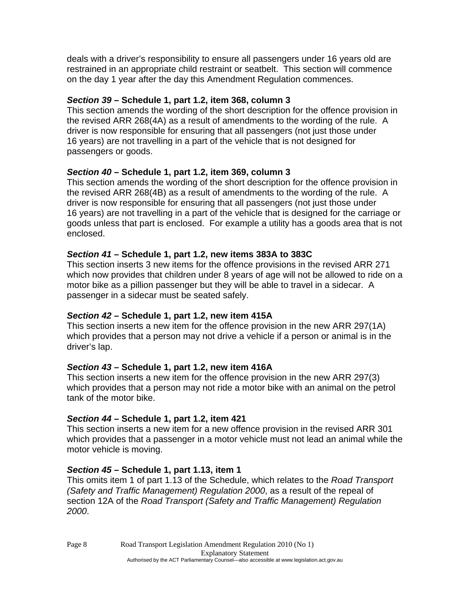deals with a driver's responsibility to ensure all passengers under 16 years old are restrained in an appropriate child restraint or seatbelt. This section will commence on the day 1 year after the day this Amendment Regulation commences.

## *Section 39* **– Schedule 1, part 1.2, item 368, column 3**

This section amends the wording of the short description for the offence provision in the revised ARR 268(4A) as a result of amendments to the wording of the rule. A driver is now responsible for ensuring that all passengers (not just those under 16 years) are not travelling in a part of the vehicle that is not designed for passengers or goods.

## *Section 40* **– Schedule 1, part 1.2, item 369, column 3**

This section amends the wording of the short description for the offence provision in the revised ARR 268(4B) as a result of amendments to the wording of the rule. A driver is now responsible for ensuring that all passengers (not just those under 16 years) are not travelling in a part of the vehicle that is designed for the carriage or goods unless that part is enclosed. For example a utility has a goods area that is not enclosed.

## *Section 41* **– Schedule 1, part 1.2, new items 383A to 383C**

This section inserts 3 new items for the offence provisions in the revised ARR 271 which now provides that children under 8 years of age will not be allowed to ride on a motor bike as a pillion passenger but they will be able to travel in a sidecar. A passenger in a sidecar must be seated safely.

## *Section 42* **– Schedule 1, part 1.2, new item 415A**

This section inserts a new item for the offence provision in the new ARR 297(1A) which provides that a person may not drive a vehicle if a person or animal is in the driver's lap.

## *Section 43* **– Schedule 1, part 1.2, new item 416A**

This section inserts a new item for the offence provision in the new ARR 297(3) which provides that a person may not ride a motor bike with an animal on the petrol tank of the motor bike.

#### *Section 44* **– Schedule 1, part 1.2, item 421**

This section inserts a new item for a new offence provision in the revised ARR 301 which provides that a passenger in a motor vehicle must not lead an animal while the motor vehicle is moving.

#### *Section 45* **– Schedule 1, part 1.13, item 1**

This omits item 1 of part 1.13 of the Schedule, which relates to the *Road Transport (Safety and Traffic Management) Regulation 2000*, as a result of the repeal of section 12A of the *Road Transport (Safety and Traffic Management) Regulation 2000*.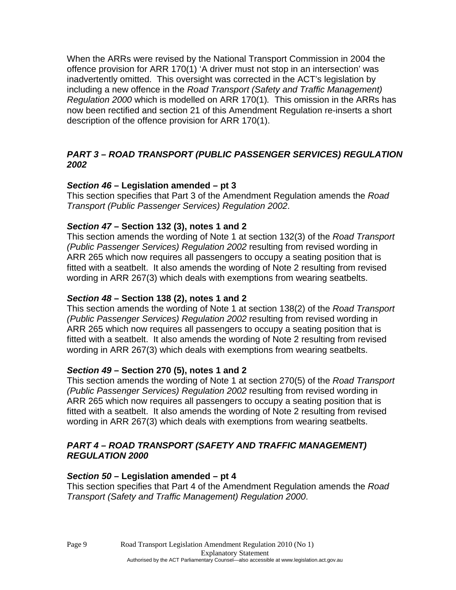When the ARRs were revised by the National Transport Commission in 2004 the offence provision for ARR 170(1) 'A driver must not stop in an intersection' was inadvertently omitted. This oversight was corrected in the ACT's legislation by including a new offence in the *Road Transport (Safety and Traffic Management) Regulation 2000* which is modelled on ARR 170(1)*.* This omission in the ARRs has now been rectified and section 21 of this Amendment Regulation re-inserts a short description of the offence provision for ARR 170(1).

### *PART 3 – ROAD TRANSPORT (PUBLIC PASSENGER SERVICES) REGULATION 2002*

### *Section 46* **– Legislation amended – pt 3**

This section specifies that Part 3 of the Amendment Regulation amends the *Road Transport (Public Passenger Services) Regulation 2002*.

### *Section 47* **– Section 132 (3), notes 1 and 2**

This section amends the wording of Note 1 at section 132(3) of the *Road Transport (Public Passenger Services) Regulation 2002* resulting from revised wording in ARR 265 which now requires all passengers to occupy a seating position that is fitted with a seatbelt. It also amends the wording of Note 2 resulting from revised wording in ARR 267(3) which deals with exemptions from wearing seatbelts.

#### *Section 48* **– Section 138 (2), notes 1 and 2**

This section amends the wording of Note 1 at section 138(2) of the *Road Transport (Public Passenger Services) Regulation 2002* resulting from revised wording in ARR 265 which now requires all passengers to occupy a seating position that is fitted with a seatbelt. It also amends the wording of Note 2 resulting from revised wording in ARR 267(3) which deals with exemptions from wearing seatbelts.

## *Section 49* **– Section 270 (5), notes 1 and 2**

This section amends the wording of Note 1 at section 270(5) of the *Road Transport (Public Passenger Services) Regulation 2002* resulting from revised wording in ARR 265 which now requires all passengers to occupy a seating position that is fitted with a seatbelt. It also amends the wording of Note 2 resulting from revised wording in ARR 267(3) which deals with exemptions from wearing seatbelts.

#### *PART 4 – ROAD TRANSPORT (SAFETY AND TRAFFIC MANAGEMENT) REGULATION 2000*

#### *Section 50* **– Legislation amended – pt 4**

This section specifies that Part 4 of the Amendment Regulation amends the *Road Transport (Safety and Traffic Management) Regulation 2000*.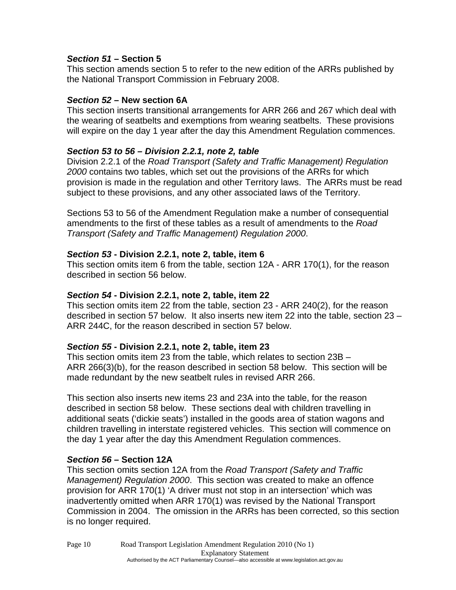### *Section 51* **– Section 5**

This section amends section 5 to refer to the new edition of the ARRs published by the National Transport Commission in February 2008.

### *Section 52* **– New section 6A**

This section inserts transitional arrangements for ARR 266 and 267 which deal with the wearing of seatbelts and exemptions from wearing seatbelts. These provisions will expire on the day 1 year after the day this Amendment Regulation commences.

## *Section 53 to 56 – Division 2.2.1, note 2, table*

Division 2.2.1 of the *Road Transport (Safety and Traffic Management) Regulation 2000* contains two tables, which set out the provisions of the ARRs for which provision is made in the regulation and other Territory laws. The ARRs must be read subject to these provisions, and any other associated laws of the Territory.

Sections 53 to 56 of the Amendment Regulation make a number of consequential amendments to the first of these tables as a result of amendments to the *Road Transport (Safety and Traffic Management) Regulation 2000*.

### *Section 53* **- Division 2.2.1, note 2, table, item 6**

This section omits item 6 from the table, section 12A - ARR 170(1), for the reason described in section 56 below.

#### *Section 54* **- Division 2.2.1, note 2, table, item 22**

This section omits item 22 from the table, section 23 - ARR 240(2), for the reason described in section 57 below. It also inserts new item 22 into the table, section 23 – ARR 244C, for the reason described in section 57 below.

#### *Section 55* **- Division 2.2.1, note 2, table, item 23**

This section omits item 23 from the table, which relates to section 23B – ARR 266(3)(b), for the reason described in section 58 below. This section will be made redundant by the new seatbelt rules in revised ARR 266.

This section also inserts new items 23 and 23A into the table, for the reason described in section 58 below. These sections deal with children travelling in additional seats ('dickie seats') installed in the goods area of station wagons and children travelling in interstate registered vehicles. This section will commence on the day 1 year after the day this Amendment Regulation commences.

## *Section 56* **– Section 12A**

This section omits section 12A from the *Road Transport (Safety and Traffic Management) Regulation 2000*. This section was created to make an offence provision for ARR 170(1) 'A driver must not stop in an intersection' which was inadvertently omitted when ARR 170(1) was revised by the National Transport Commission in 2004. The omission in the ARRs has been corrected, so this section is no longer required.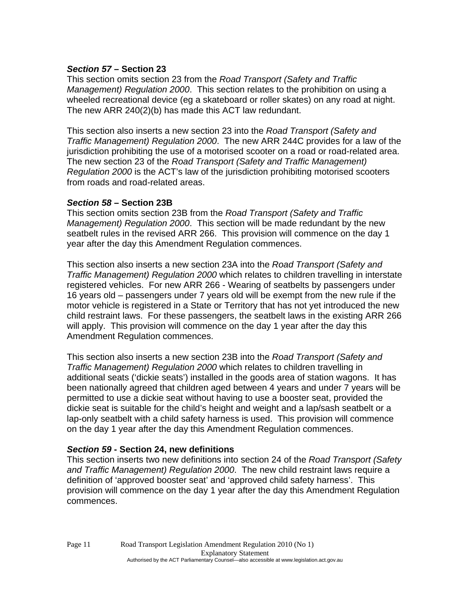### *Section 57* **– Section 23**

This section omits section 23 from the *Road Transport (Safety and Traffic Management) Regulation 2000*. This section relates to the prohibition on using a wheeled recreational device (eg a skateboard or roller skates) on any road at night. The new ARR 240(2)(b) has made this ACT law redundant.

This section also inserts a new section 23 into the *Road Transport (Safety and Traffic Management) Regulation 2000*. The new ARR 244C provides for a law of the jurisdiction prohibiting the use of a motorised scooter on a road or road-related area. The new section 23 of the *Road Transport (Safety and Traffic Management) Regulation 2000* is the ACT's law of the jurisdiction prohibiting motorised scooters from roads and road-related areas.

#### *Section 58* **– Section 23B**

This section omits section 23B from the *Road Transport (Safety and Traffic Management) Regulation 2000*. This section will be made redundant by the new seatbelt rules in the revised ARR 266. This provision will commence on the day 1 year after the day this Amendment Regulation commences.

This section also inserts a new section 23A into the *Road Transport (Safety and Traffic Management) Regulation 2000* which relates to children travelling in interstate registered vehicles. For new ARR 266 - Wearing of seatbelts by passengers under 16 years old – passengers under 7 years old will be exempt from the new rule if the motor vehicle is registered in a State or Territory that has not yet introduced the new child restraint laws. For these passengers, the seatbelt laws in the existing ARR 266 will apply. This provision will commence on the day 1 year after the day this Amendment Regulation commences.

This section also inserts a new section 23B into the *Road Transport (Safety and Traffic Management) Regulation 2000* which relates to children travelling in additional seats ('dickie seats') installed in the goods area of station wagons. It has been nationally agreed that children aged between 4 years and under 7 years will be permitted to use a dickie seat without having to use a booster seat, provided the dickie seat is suitable for the child's height and weight and a lap/sash seatbelt or a lap-only seatbelt with a child safety harness is used. This provision will commence on the day 1 year after the day this Amendment Regulation commences.

#### *Section 59* **- Section 24, new definitions**

This section inserts two new definitions into section 24 of the *Road Transport (Safety and Traffic Management) Regulation 2000*. The new child restraint laws require a definition of 'approved booster seat' and 'approved child safety harness'. This provision will commence on the day 1 year after the day this Amendment Regulation commences.